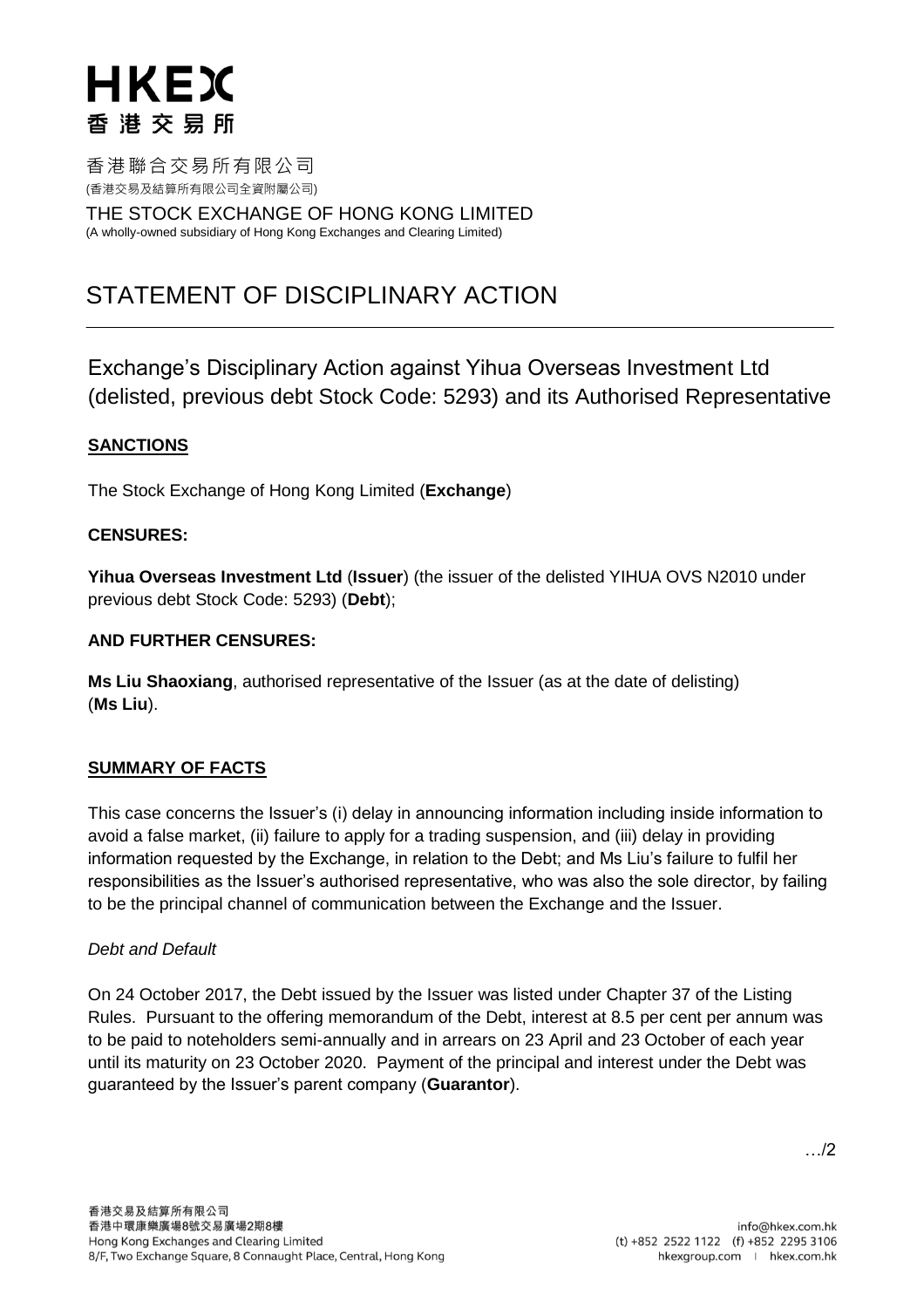# HKEX 香港交易所

香港聯合交易所有限公司 (香港交易及結算所有限公司全資附屬公司)

THE STOCK EXCHANGE OF HONG KONG LIMITED (A wholly-owned subsidiary of Hong Kong Exchanges and Clearing Limited)

# STATEMENT OF DISCIPLINARY ACTION

Exchange's Disciplinary Action against Yihua Overseas Investment Ltd (delisted, previous debt Stock Code: 5293) and its Authorised Representative

# **SANCTIONS**

The Stock Exchange of Hong Kong Limited (**Exchange**)

# **CENSURES:**

**Yihua Overseas Investment Ltd** (**Issuer**) (the issuer of the delisted YIHUA OVS N2010 under previous debt Stock Code: 5293) (**Debt**);

### **AND FURTHER CENSURES:**

**Ms Liu Shaoxiang**, authorised representative of the Issuer (as at the date of delisting) (**Ms Liu**).

# **SUMMARY OF FACTS**

This case concerns the Issuer's (i) delay in announcing information including inside information to avoid a false market, (ii) failure to apply for a trading suspension, and (iii) delay in providing information requested by the Exchange, in relation to the Debt; and Ms Liu's failure to fulfil her responsibilities as the Issuer's authorised representative, who was also the sole director, by failing to be the principal channel of communication between the Exchange and the Issuer.

# *Debt and Default*

On 24 October 2017, the Debt issued by the Issuer was listed under Chapter 37 of the Listing Rules. Pursuant to the offering memorandum of the Debt, interest at 8.5 per cent per annum was to be paid to noteholders semi-annually and in arrears on 23 April and 23 October of each year until its maturity on 23 October 2020. Payment of the principal and interest under the Debt was guaranteed by the Issuer's parent company (**Guarantor**).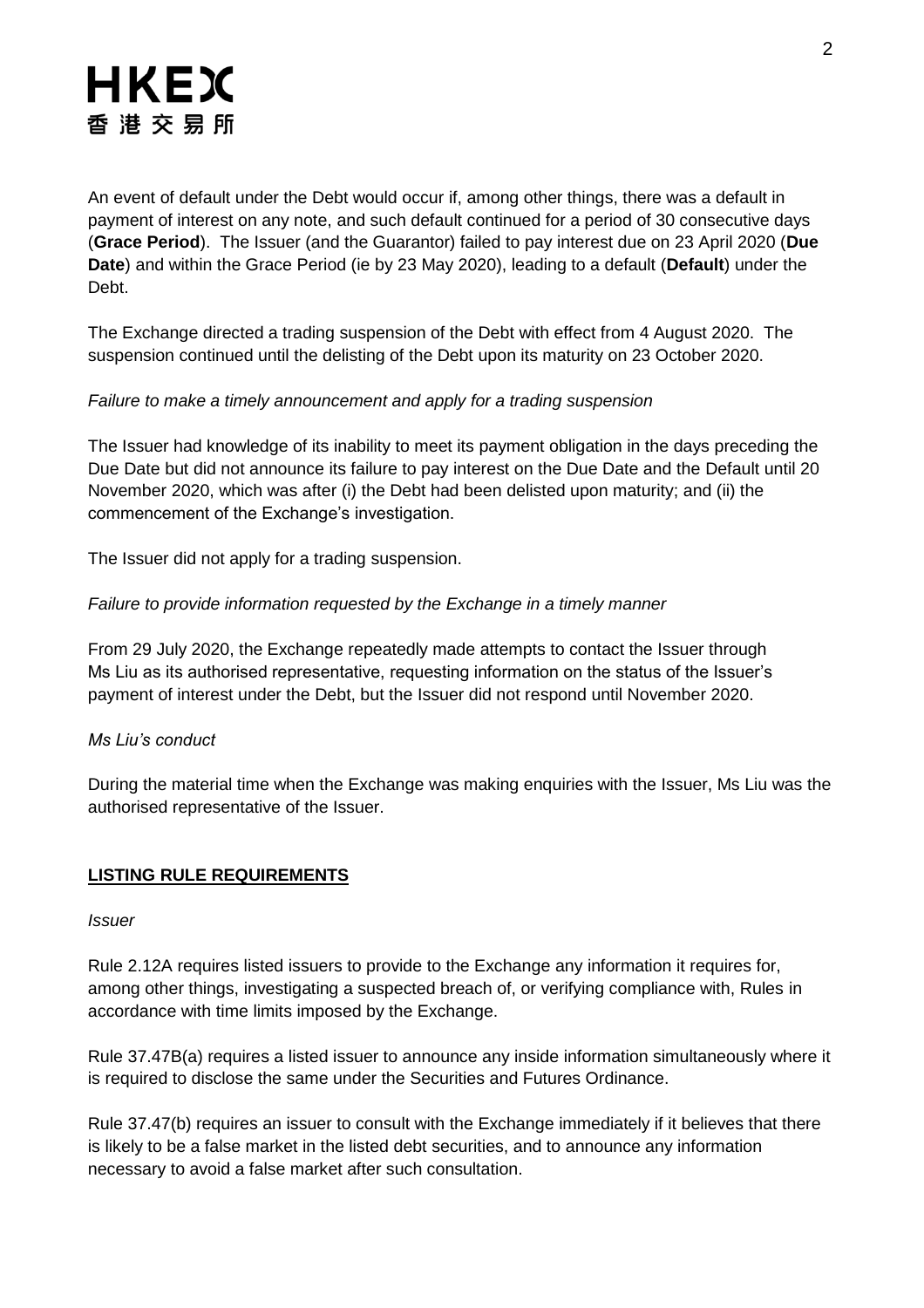# HKEX 香港交易所

An event of default under the Debt would occur if, among other things, there was a default in payment of interest on any note, and such default continued for a period of 30 consecutive days (**Grace Period**). The Issuer (and the Guarantor) failed to pay interest due on 23 April 2020 (**Due Date**) and within the Grace Period (ie by 23 May 2020), leading to a default (**Default**) under the Debt.

The Exchange directed a trading suspension of the Debt with effect from 4 August 2020. The suspension continued until the delisting of the Debt upon its maturity on 23 October 2020.

# *Failure to make a timely announcement and apply for a trading suspension*

The Issuer had knowledge of its inability to meet its payment obligation in the days preceding the Due Date but did not announce its failure to pay interest on the Due Date and the Default until 20 November 2020, which was after (i) the Debt had been delisted upon maturity; and (ii) the commencement of the Exchange's investigation.

The Issuer did not apply for a trading suspension.

# *Failure to provide information requested by the Exchange in a timely manner*

From 29 July 2020, the Exchange repeatedly made attempts to contact the Issuer through Ms Liu as its authorised representative, requesting information on the status of the Issuer's payment of interest under the Debt, but the Issuer did not respond until November 2020.

# *Ms Liu's conduct*

During the material time when the Exchange was making enquiries with the Issuer, Ms Liu was the authorised representative of the Issuer.

# **LISTING RULE REQUIREMENTS**

#### *Issuer*

Rule 2.12A requires listed issuers to provide to the Exchange any information it requires for, among other things, investigating a suspected breach of, or verifying compliance with, Rules in accordance with time limits imposed by the Exchange.

Rule 37.47B(a) requires a listed issuer to announce any inside information simultaneously where it is required to disclose the same under the Securities and Futures Ordinance.

Rule 37.47(b) requires an issuer to consult with the Exchange immediately if it believes that there is likely to be a false market in the listed debt securities, and to announce any information necessary to avoid a false market after such consultation.